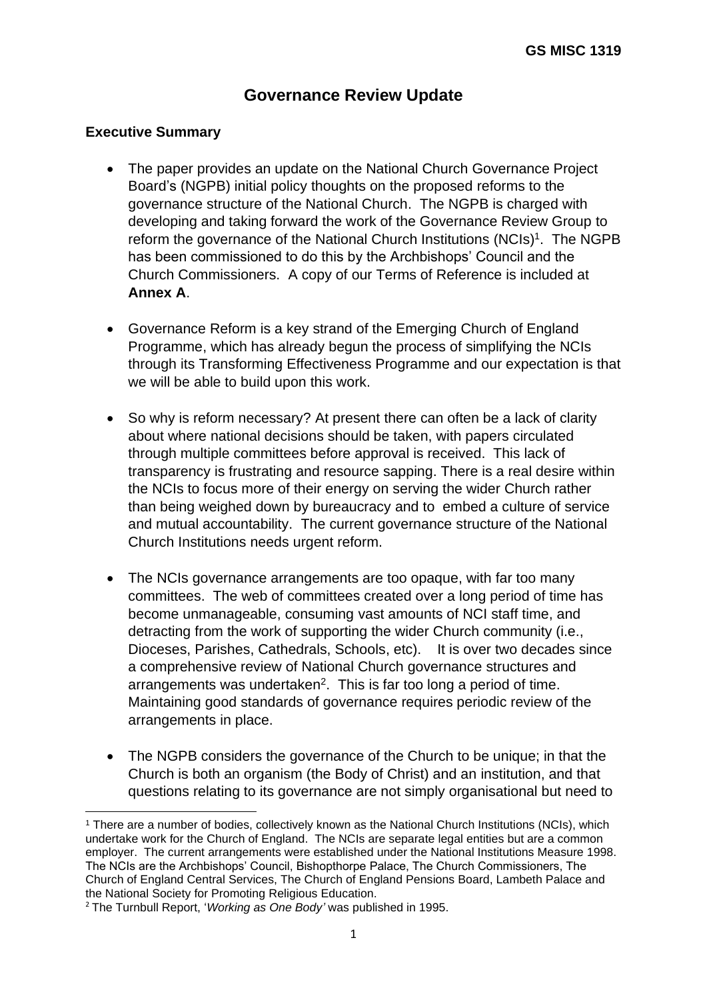# **Governance Review Update**

#### **Executive Summary**

- The paper provides an update on the National Church Governance Project Board's (NGPB) initial policy thoughts on the proposed reforms to the governance structure of the National Church. The NGPB is charged with developing and taking forward the work of the Governance Review Group to reform the governance of the National Church Institutions (NCIs)<sup>1</sup>. The NGPB has been commissioned to do this by the Archbishops' Council and the Church Commissioners. A copy of our Terms of Reference is included at **Annex A**.
- Governance Reform is a key strand of the Emerging Church of England Programme, which has already begun the process of simplifying the NCIs through its Transforming Effectiveness Programme and our expectation is that we will be able to build upon this work.
- So why is reform necessary? At present there can often be a lack of clarity about where national decisions should be taken, with papers circulated through multiple committees before approval is received. This lack of transparency is frustrating and resource sapping. There is a real desire within the NCIs to focus more of their energy on serving the wider Church rather than being weighed down by bureaucracy and to embed a culture of service and mutual accountability. The current governance structure of the National Church Institutions needs urgent reform.
- The NCIs governance arrangements are too opaque, with far too many committees. The web of committees created over a long period of time has become unmanageable, consuming vast amounts of NCI staff time, and detracting from the work of supporting the wider Church community (i.e., Dioceses, Parishes, Cathedrals, Schools, etc). It is over two decades since a comprehensive review of National Church governance structures and arrangements was undertaken<sup>2</sup>. This is far too long a period of time. Maintaining good standards of governance requires periodic review of the arrangements in place.
- The NGPB considers the governance of the Church to be unique; in that the Church is both an organism (the Body of Christ) and an institution, and that questions relating to its governance are not simply organisational but need to

<sup>&</sup>lt;sup>1</sup> There are a number of bodies, collectively known as the National Church Institutions (NCIs), which undertake work for the Church of England. The NCIs are separate legal entities but are a common employer. The current arrangements were established under the National Institutions Measure 1998. The NCIs are the Archbishops' Council, Bishopthorpe Palace, The Church Commissioners, The Church of England Central Services, The Church of England Pensions Board, Lambeth Palace and the National Society for Promoting Religious Education.

<sup>2</sup> The Turnbull Report, '*Working as One Body'* was published in 1995.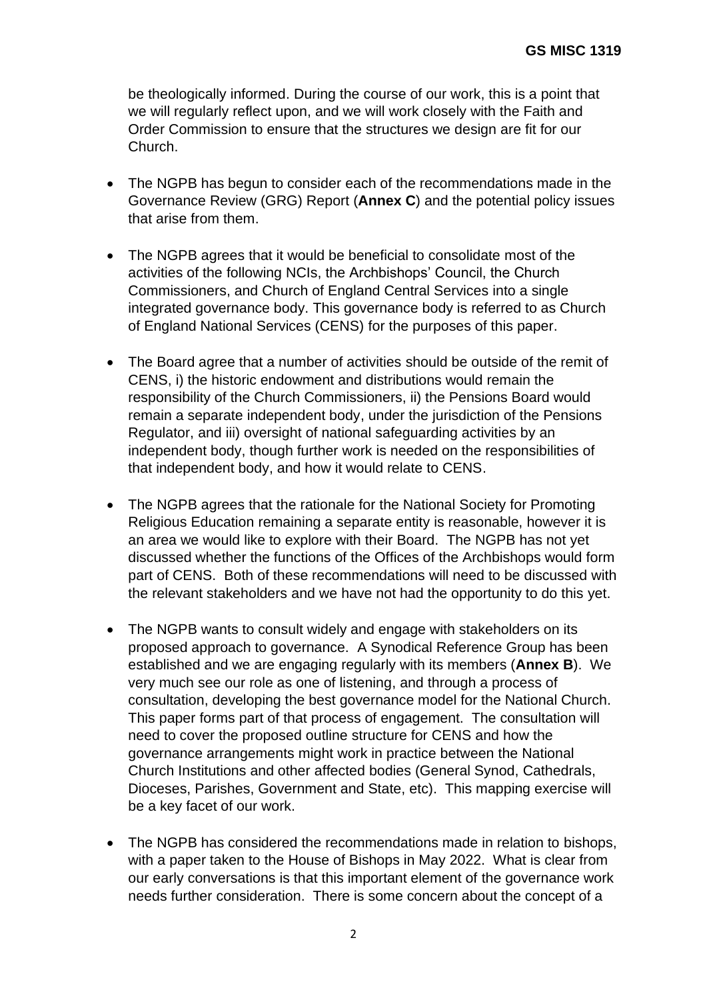be theologically informed. During the course of our work, this is a point that we will regularly reflect upon, and we will work closely with the Faith and Order Commission to ensure that the structures we design are fit for our Church.

- The NGPB has begun to consider each of the recommendations made in the Governance Review (GRG) Report (**Annex C**) and the potential policy issues that arise from them.
- The NGPB agrees that it would be beneficial to consolidate most of the activities of the following NCIs, the Archbishops' Council, the Church Commissioners, and Church of England Central Services into a single integrated governance body. This governance body is referred to as Church of England National Services (CENS) for the purposes of this paper.
- The Board agree that a number of activities should be outside of the remit of CENS, i) the historic endowment and distributions would remain the responsibility of the Church Commissioners, ii) the Pensions Board would remain a separate independent body, under the jurisdiction of the Pensions Regulator, and iii) oversight of national safeguarding activities by an independent body, though further work is needed on the responsibilities of that independent body, and how it would relate to CENS.
- The NGPB agrees that the rationale for the National Society for Promoting Religious Education remaining a separate entity is reasonable, however it is an area we would like to explore with their Board. The NGPB has not yet discussed whether the functions of the Offices of the Archbishops would form part of CENS. Both of these recommendations will need to be discussed with the relevant stakeholders and we have not had the opportunity to do this yet.
- The NGPB wants to consult widely and engage with stakeholders on its proposed approach to governance. A Synodical Reference Group has been established and we are engaging regularly with its members (**Annex B**). We very much see our role as one of listening, and through a process of consultation, developing the best governance model for the National Church. This paper forms part of that process of engagement. The consultation will need to cover the proposed outline structure for CENS and how the governance arrangements might work in practice between the National Church Institutions and other affected bodies (General Synod, Cathedrals, Dioceses, Parishes, Government and State, etc). This mapping exercise will be a key facet of our work.
- The NGPB has considered the recommendations made in relation to bishops, with a paper taken to the House of Bishops in May 2022. What is clear from our early conversations is that this important element of the governance work needs further consideration. There is some concern about the concept of a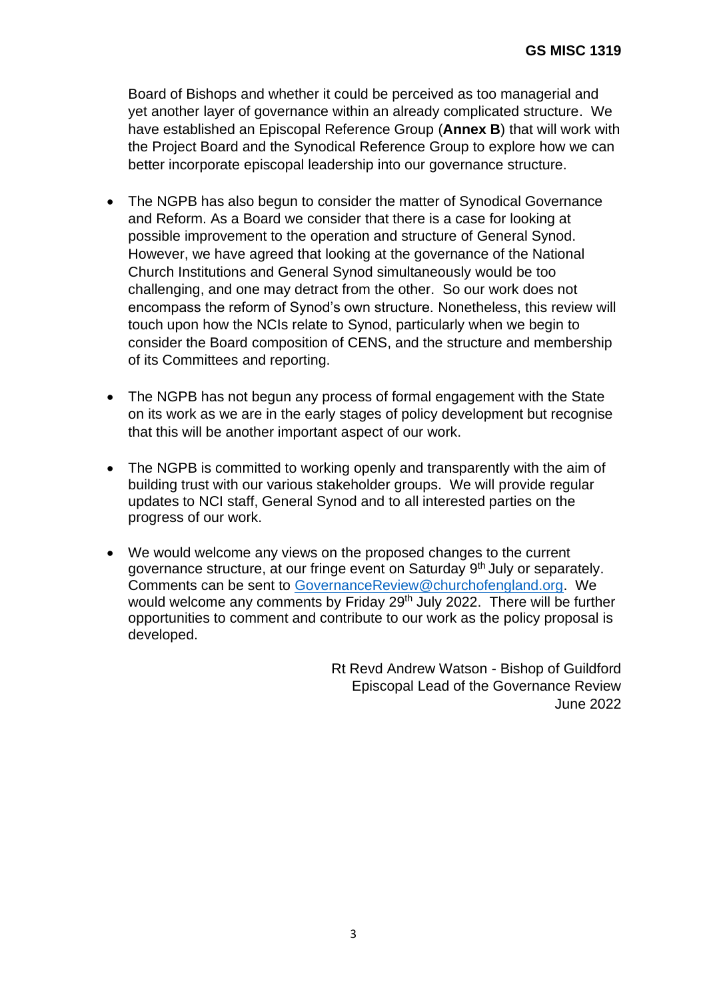Board of Bishops and whether it could be perceived as too managerial and yet another layer of governance within an already complicated structure. We have established an Episcopal Reference Group (**Annex B**) that will work with the Project Board and the Synodical Reference Group to explore how we can better incorporate episcopal leadership into our governance structure.

- The NGPB has also begun to consider the matter of Synodical Governance and Reform. As a Board we consider that there is a case for looking at possible improvement to the operation and structure of General Synod. However, we have agreed that looking at the governance of the National Church Institutions and General Synod simultaneously would be too challenging, and one may detract from the other. So our work does not encompass the reform of Synod's own structure. Nonetheless, this review will touch upon how the NCIs relate to Synod, particularly when we begin to consider the Board composition of CENS, and the structure and membership of its Committees and reporting.
- The NGPB has not begun any process of formal engagement with the State on its work as we are in the early stages of policy development but recognise that this will be another important aspect of our work.
- The NGPB is committed to working openly and transparently with the aim of building trust with our various stakeholder groups. We will provide regular updates to NCI staff, General Synod and to all interested parties on the progress of our work.
- We would welcome any views on the proposed changes to the current governance structure, at our fringe event on Saturday 9<sup>th</sup> July or separately. Comments can be sent to [GovernanceReview@churchofengland.org.](mailto:GovernanceReview@churchofengland.org) We would welcome any comments by Friday 29<sup>th</sup> July 2022. There will be further opportunities to comment and contribute to our work as the policy proposal is developed.

Rt Revd Andrew Watson - Bishop of Guildford Episcopal Lead of the Governance Review June 2022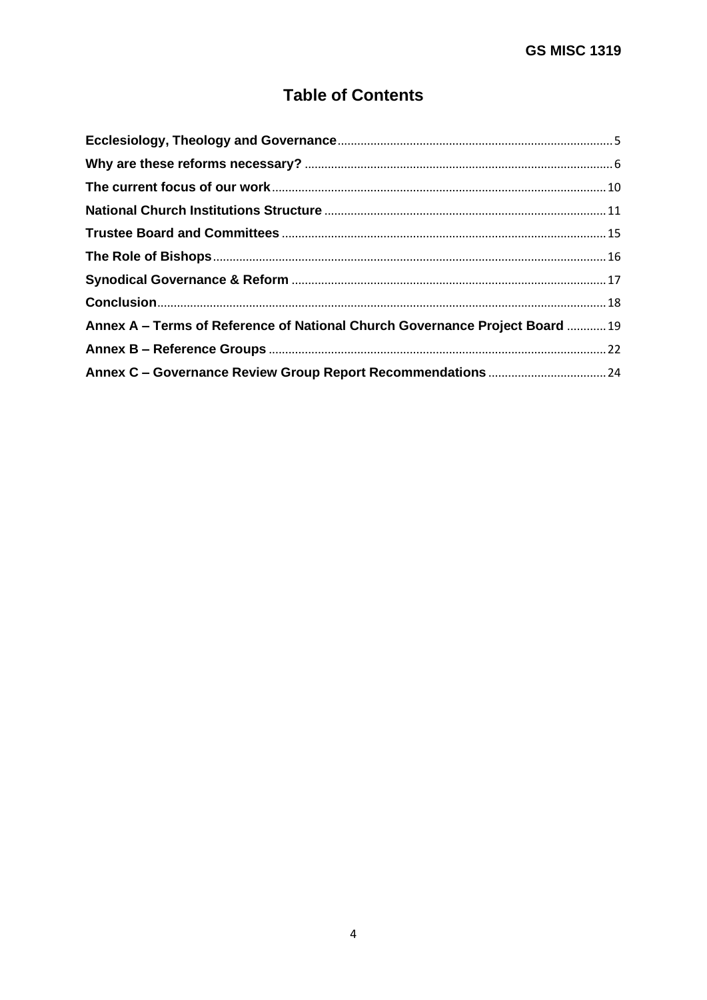# **Table of Contents**

| Annex A – Terms of Reference of National Church Governance Project Board  19 |  |
|------------------------------------------------------------------------------|--|
|                                                                              |  |
|                                                                              |  |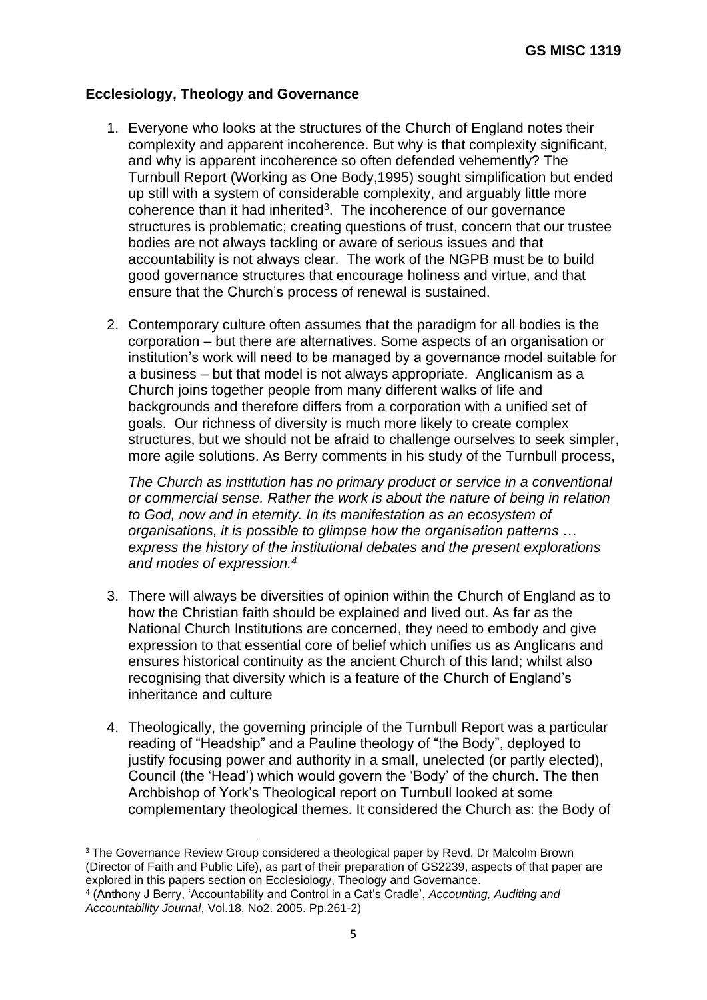## <span id="page-4-0"></span>**Ecclesiology, Theology and Governance**

- 1. Everyone who looks at the structures of the Church of England notes their complexity and apparent incoherence. But why is that complexity significant, and why is apparent incoherence so often defended vehemently? The Turnbull Report (Working as One Body,1995) sought simplification but ended up still with a system of considerable complexity, and arguably little more coherence than it had inherited<sup>3</sup>. The incoherence of our governance structures is problematic; creating questions of trust, concern that our trustee bodies are not always tackling or aware of serious issues and that accountability is not always clear. The work of the NGPB must be to build good governance structures that encourage holiness and virtue, and that ensure that the Church's process of renewal is sustained.
- 2. Contemporary culture often assumes that the paradigm for all bodies is the corporation – but there are alternatives. Some aspects of an organisation or institution's work will need to be managed by a governance model suitable for a business – but that model is not always appropriate. Anglicanism as a Church joins together people from many different walks of life and backgrounds and therefore differs from a corporation with a unified set of goals. Our richness of diversity is much more likely to create complex structures, but we should not be afraid to challenge ourselves to seek simpler, more agile solutions. As Berry comments in his study of the Turnbull process,

*The Church as institution has no primary product or service in a conventional or commercial sense. Rather the work is about the nature of being in relation to God, now and in eternity. In its manifestation as an ecosystem of organisations, it is possible to glimpse how the organisation patterns … express the history of the institutional debates and the present explorations*  and modes of expression.<sup>4</sup>

- 3. There will always be diversities of opinion within the Church of England as to how the Christian faith should be explained and lived out. As far as the National Church Institutions are concerned, they need to embody and give expression to that essential core of belief which unifies us as Anglicans and ensures historical continuity as the ancient Church of this land; whilst also recognising that diversity which is a feature of the Church of England's inheritance and culture
- 4. Theologically, the governing principle of the Turnbull Report was a particular reading of "Headship" and a Pauline theology of "the Body", deployed to justify focusing power and authority in a small, unelected (or partly elected), Council (the 'Head') which would govern the 'Body' of the church. The then Archbishop of York's Theological report on Turnbull looked at some complementary theological themes. It considered the Church as: the Body of

<sup>&</sup>lt;sup>3</sup> The Governance Review Group considered a theological paper by Revd. Dr Malcolm Brown (Director of Faith and Public Life), as part of their preparation of GS2239, aspects of that paper are explored in this papers section on Ecclesiology, Theology and Governance.

<sup>4</sup> (Anthony J Berry, 'Accountability and Control in a Cat's Cradle', *Accounting, Auditing and Accountability Journal*, Vol.18, No2. 2005. Pp.261-2)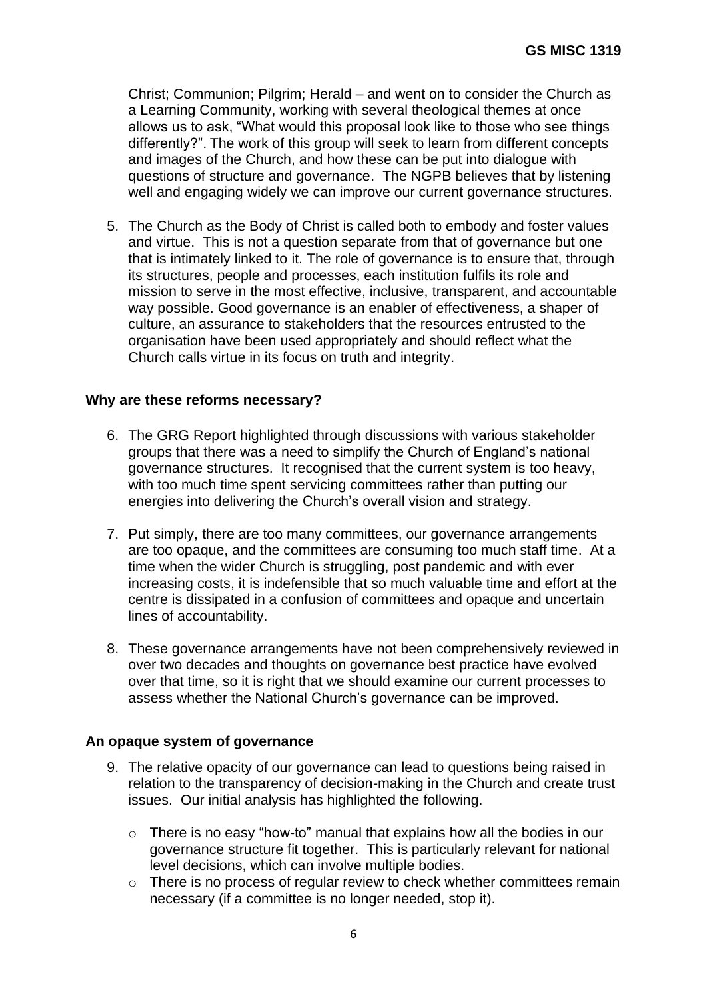Christ; Communion; Pilgrim; Herald – and went on to consider the Church as a Learning Community, working with several theological themes at once allows us to ask, "What would this proposal look like to those who see things differently?". The work of this group will seek to learn from different concepts and images of the Church, and how these can be put into dialogue with questions of structure and governance. The NGPB believes that by listening well and engaging widely we can improve our current governance structures.

5. The Church as the Body of Christ is called both to embody and foster values and virtue. This is not a question separate from that of governance but one that is intimately linked to it. The role of governance is to ensure that, through its structures, people and processes, each institution fulfils its role and mission to serve in the most effective, inclusive, transparent, and accountable way possible. Good governance is an enabler of effectiveness, a shaper of culture, an assurance to stakeholders that the resources entrusted to the organisation have been used appropriately and should reflect what the Church calls virtue in its focus on truth and integrity.

## <span id="page-5-0"></span>**Why are these reforms necessary?**

- 6. The GRG Report highlighted through discussions with various stakeholder groups that there was a need to simplify the Church of England's national governance structures. It recognised that the current system is too heavy, with too much time spent servicing committees rather than putting our energies into delivering the Church's overall vision and strategy.
- 7. Put simply, there are too many committees, our governance arrangements are too opaque, and the committees are consuming too much staff time. At a time when the wider Church is struggling, post pandemic and with ever increasing costs, it is indefensible that so much valuable time and effort at the centre is dissipated in a confusion of committees and opaque and uncertain lines of accountability.
- 8. These governance arrangements have not been comprehensively reviewed in over two decades and thoughts on governance best practice have evolved over that time, so it is right that we should examine our current processes to assess whether the National Church's governance can be improved.

#### **An opaque system of governance**

- 9. The relative opacity of our governance can lead to questions being raised in relation to the transparency of decision-making in the Church and create trust issues. Our initial analysis has highlighted the following.
	- o There is no easy "how-to" manual that explains how all the bodies in our governance structure fit together. This is particularly relevant for national level decisions, which can involve multiple bodies.
	- o There is no process of regular review to check whether committees remain necessary (if a committee is no longer needed, stop it).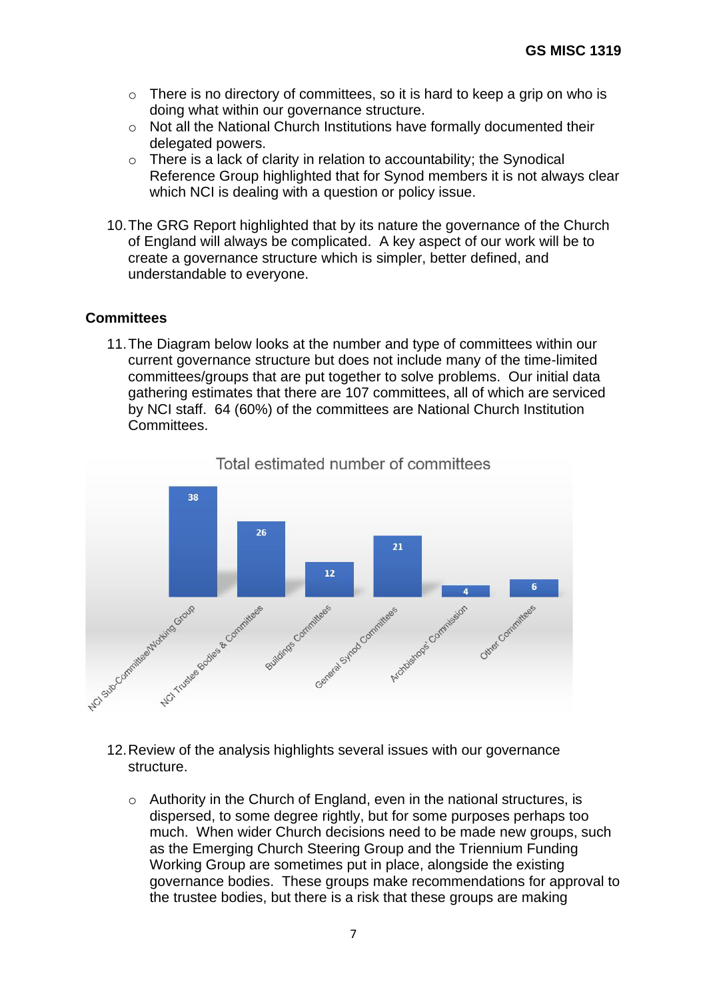- o There is no directory of committees, so it is hard to keep a grip on who is doing what within our governance structure.
- o Not all the National Church Institutions have formally documented their delegated powers.
- o There is a lack of clarity in relation to accountability; the Synodical Reference Group highlighted that for Synod members it is not always clear which NCI is dealing with a question or policy issue.
- 10.The GRG Report highlighted that by its nature the governance of the Church of England will always be complicated. A key aspect of our work will be to create a governance structure which is simpler, better defined, and understandable to everyone.

#### **Committees**

11.The Diagram below looks at the number and type of committees within our current governance structure but does not include many of the time-limited committees/groups that are put together to solve problems. Our initial data gathering estimates that there are 107 committees, all of which are serviced by NCI staff. 64 (60%) of the committees are National Church Institution Committees.



# Total estimated number of committees

- 12.Review of the analysis highlights several issues with our governance structure.
	- o Authority in the Church of England, even in the national structures, is dispersed, to some degree rightly, but for some purposes perhaps too much. When wider Church decisions need to be made new groups, such as the Emerging Church Steering Group and the Triennium Funding Working Group are sometimes put in place, alongside the existing governance bodies. These groups make recommendations for approval to the trustee bodies, but there is a risk that these groups are making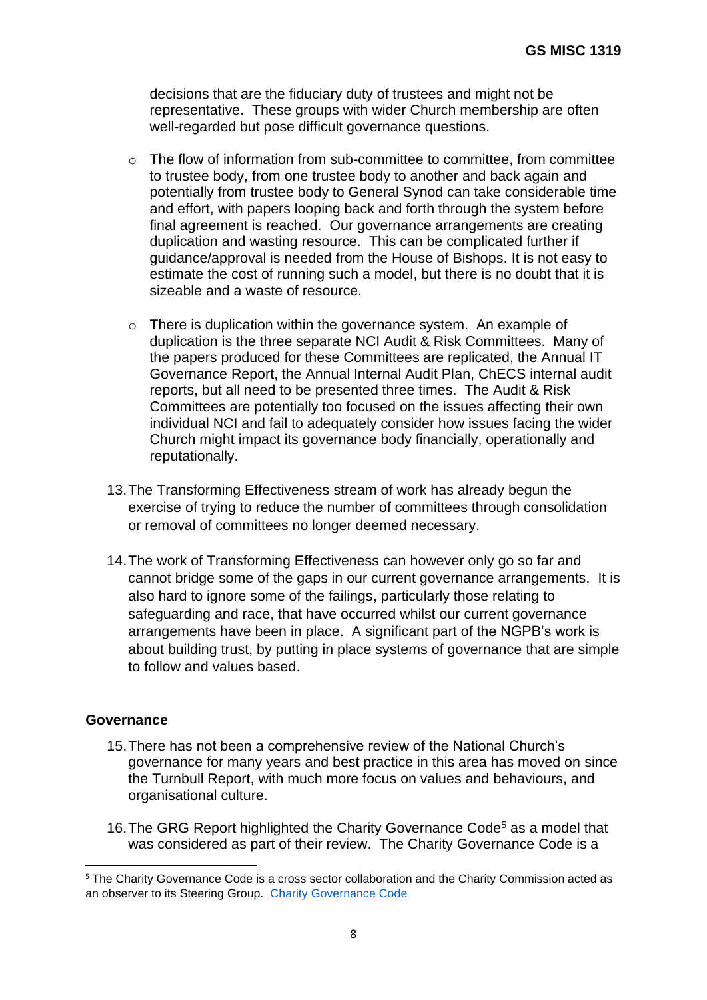decisions that are the fiduciary duty of trustees and might not be representative. These groups with wider Church membership are often well-regarded but pose difficult governance questions.

- o The flow of information from sub-committee to committee, from committee to trustee body, from one trustee body to another and back again and potentially from trustee body to General Synod can take considerable time and effort, with papers looping back and forth through the system before final agreement is reached. Our governance arrangements are creating duplication and wasting resource. This can be complicated further if guidance/approval is needed from the House of Bishops. It is not easy to estimate the cost of running such a model, but there is no doubt that it is sizeable and a waste of resource.
- o There is duplication within the governance system. An example of duplication is the three separate NCI Audit & Risk Committees. Many of the papers produced for these Committees are replicated, the Annual IT Governance Report, the Annual Internal Audit Plan, ChECS internal audit reports, but all need to be presented three times. The Audit & Risk Committees are potentially too focused on the issues affecting their own individual NCI and fail to adequately consider how issues facing the wider Church might impact its governance body financially, operationally and reputationally.
- 13.The Transforming Effectiveness stream of work has already begun the exercise of trying to reduce the number of committees through consolidation or removal of committees no longer deemed necessary.
- 14.The work of Transforming Effectiveness can however only go so far and cannot bridge some of the gaps in our current governance arrangements. It is also hard to ignore some of the failings, particularly those relating to safeguarding and race, that have occurred whilst our current governance arrangements have been in place. A significant part of the NGPB's work is about building trust, by putting in place systems of governance that are simple to follow and values based.

#### **Governance**

- 15.There has not been a comprehensive review of the National Church's governance for many years and best practice in this area has moved on since the Turnbull Report, with much more focus on values and behaviours, and organisational culture.
- 16. The GRG Report highlighted the Charity Governance Code<sup>5</sup> as a model that was considered as part of their review. The Charity Governance Code is a

<sup>&</sup>lt;sup>5</sup> The Charity Governance Code is a cross sector collaboration and the Charity Commission acted as an observer to its Steering Group. [Charity Governance Code](https://www.charitygovernancecode.org/en/pdf)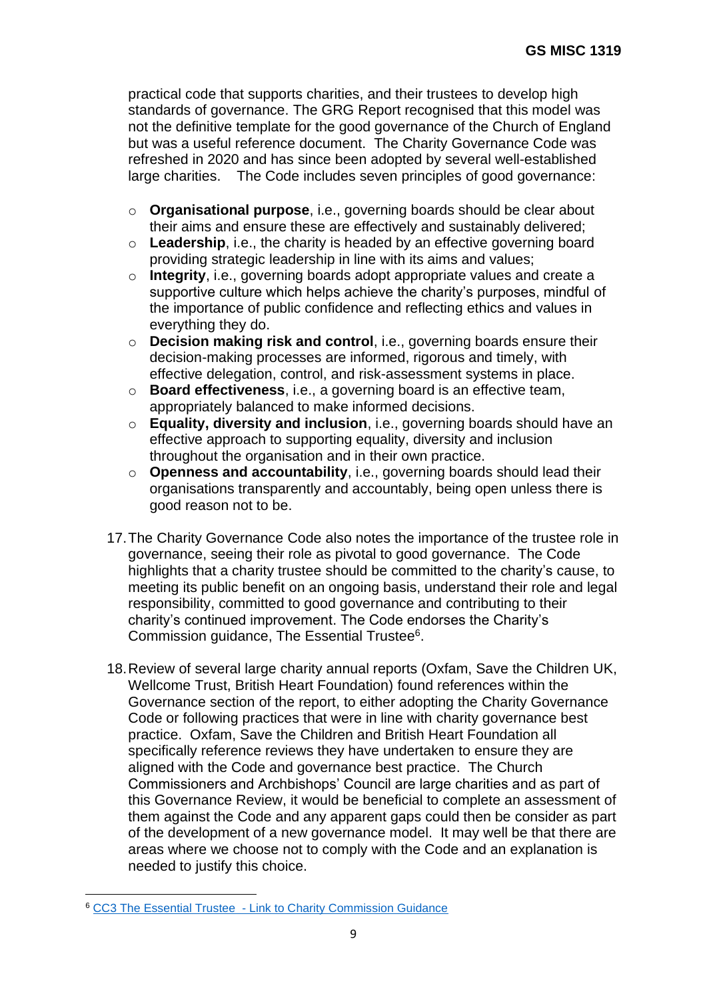practical code that supports charities, and their trustees to develop high standards of governance. The GRG Report recognised that this model was not the definitive template for the good governance of the Church of England but was a useful reference document. The Charity Governance Code was refreshed in 2020 and has since been adopted by several well-established large charities. The Code includes seven principles of good governance:

- o **Organisational purpose**, i.e., governing boards should be clear about their aims and ensure these are effectively and sustainably delivered;
- o **Leadership**, i.e., the charity is headed by an effective governing board providing strategic leadership in line with its aims and values;
- o **Integrity**, i.e., governing boards adopt appropriate values and create a supportive culture which helps achieve the charity's purposes, mindful of the importance of public confidence and reflecting ethics and values in everything they do.
- o **Decision making risk and control**, i.e., governing boards ensure their decision-making processes are informed, rigorous and timely, with effective delegation, control, and risk-assessment systems in place.
- o **Board effectiveness**, i.e., a governing board is an effective team, appropriately balanced to make informed decisions.
- o **Equality, diversity and inclusion**, i.e., governing boards should have an effective approach to supporting equality, diversity and inclusion throughout the organisation and in their own practice.
- o **Openness and accountability**, i.e., governing boards should lead their organisations transparently and accountably, being open unless there is good reason not to be.
- 17.The Charity Governance Code also notes the importance of the trustee role in governance, seeing their role as pivotal to good governance. The Code highlights that a charity trustee should be committed to the charity's cause, to meeting its public benefit on an ongoing basis, understand their role and legal responsibility, committed to good governance and contributing to their charity's continued improvement. The Code endorses the Charity's Commission guidance, The Essential Trustee<sup>6</sup>.
- 18.Review of several large charity annual reports (Oxfam, Save the Children UK, Wellcome Trust, British Heart Foundation) found references within the Governance section of the report, to either adopting the Charity Governance Code or following practices that were in line with charity governance best practice. Oxfam, Save the Children and British Heart Foundation all specifically reference reviews they have undertaken to ensure they are aligned with the Code and governance best practice. The Church Commissioners and Archbishops' Council are large charities and as part of this Governance Review, it would be beneficial to complete an assessment of them against the Code and any apparent gaps could then be consider as part of the development of a new governance model. It may well be that there are areas where we choose not to comply with the Code and an explanation is needed to justify this choice.

<sup>6</sup> CC3 The Essential Trustee - [Link to Charity Commission Guidance](https://www.gov.uk/government/publications/the-essential-trustee-what-you-need-to-know-cc3/the-essential-trustee-what-you-need-to-know-what-you-need-to-do)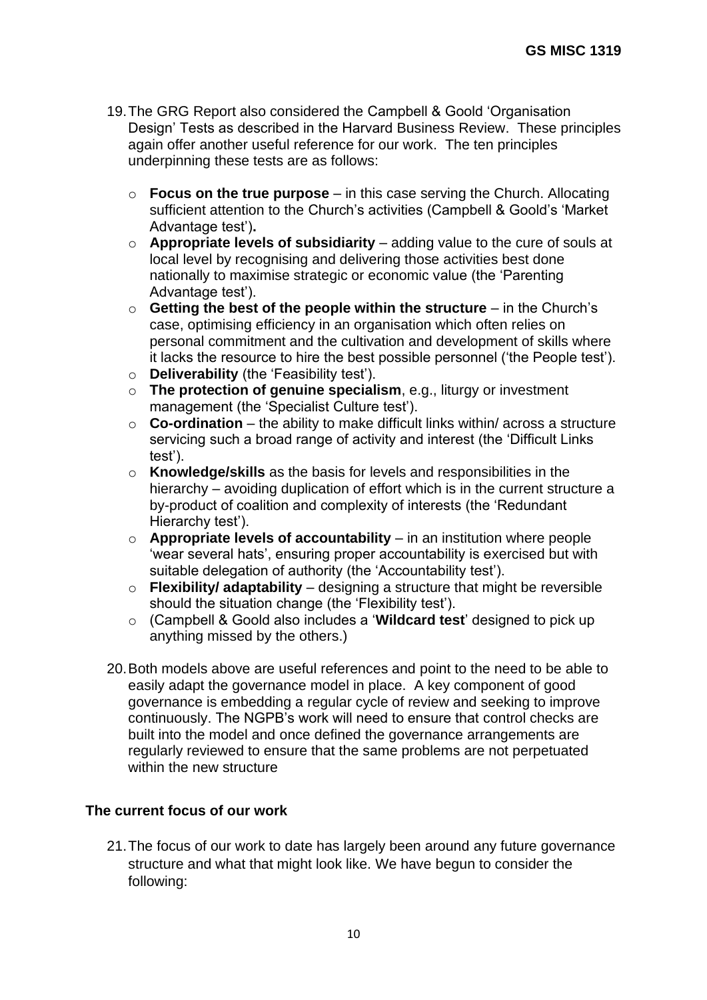- 19.The GRG Report also considered the Campbell & Goold 'Organisation Design' Tests as described in the Harvard Business Review. These principles again offer another useful reference for our work. The ten principles underpinning these tests are as follows:
	- o **Focus on the true purpose**  in this case serving the Church. Allocating sufficient attention to the Church's activities (Campbell & Goold's 'Market Advantage test')**.**
	- o **Appropriate levels of subsidiarity**  adding value to the cure of souls at local level by recognising and delivering those activities best done nationally to maximise strategic or economic value (the 'Parenting Advantage test').
	- o **Getting the best of the people within the structure** in the Church's case, optimising efficiency in an organisation which often relies on personal commitment and the cultivation and development of skills where it lacks the resource to hire the best possible personnel ('the People test').
	- o **Deliverability** (the 'Feasibility test').
	- o **The protection of genuine specialism**, e.g., liturgy or investment management (the 'Specialist Culture test').
	- o **Co-ordination** the ability to make difficult links within/ across a structure servicing such a broad range of activity and interest (the 'Difficult Links test').
	- o **Knowledge/skills** as the basis for levels and responsibilities in the hierarchy – avoiding duplication of effort which is in the current structure a by-product of coalition and complexity of interests (the 'Redundant Hierarchy test').
	- o **Appropriate levels of accountability** in an institution where people 'wear several hats', ensuring proper accountability is exercised but with suitable delegation of authority (the 'Accountability test').
	- o **Flexibility/ adaptability** designing a structure that might be reversible should the situation change (the 'Flexibility test').
	- o (Campbell & Goold also includes a '**Wildcard test**' designed to pick up anything missed by the others.)
- 20.Both models above are useful references and point to the need to be able to easily adapt the governance model in place. A key component of good governance is embedding a regular cycle of review and seeking to improve continuously. The NGPB's work will need to ensure that control checks are built into the model and once defined the governance arrangements are regularly reviewed to ensure that the same problems are not perpetuated within the new structure

#### <span id="page-9-0"></span>**The current focus of our work**

21.The focus of our work to date has largely been around any future governance structure and what that might look like. We have begun to consider the following: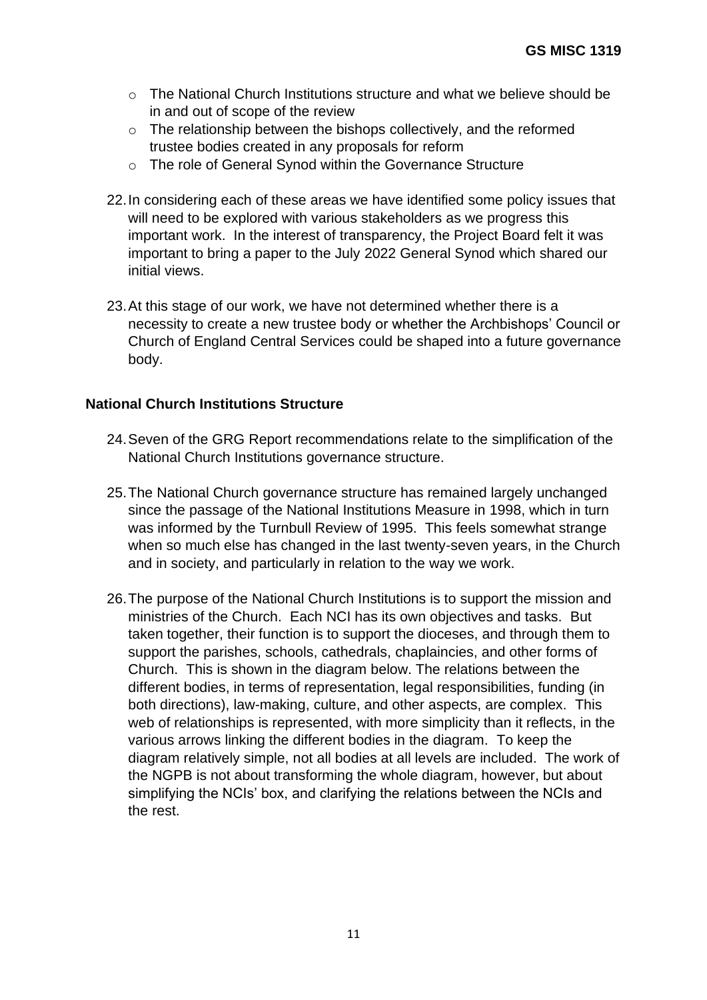- $\circ$  The National Church Institutions structure and what we believe should be in and out of scope of the review
- o The relationship between the bishops collectively, and the reformed trustee bodies created in any proposals for reform
- o The role of General Synod within the Governance Structure
- 22.In considering each of these areas we have identified some policy issues that will need to be explored with various stakeholders as we progress this important work. In the interest of transparency, the Project Board felt it was important to bring a paper to the July 2022 General Synod which shared our initial views.
- 23.At this stage of our work, we have not determined whether there is a necessity to create a new trustee body or whether the Archbishops' Council or Church of England Central Services could be shaped into a future governance body.

## <span id="page-10-0"></span>**National Church Institutions Structure**

- 24.Seven of the GRG Report recommendations relate to the simplification of the National Church Institutions governance structure.
- 25.The National Church governance structure has remained largely unchanged since the passage of the National Institutions Measure in 1998, which in turn was informed by the Turnbull Review of 1995. This feels somewhat strange when so much else has changed in the last twenty-seven years, in the Church and in society, and particularly in relation to the way we work.
- 26.The purpose of the National Church Institutions is to support the mission and ministries of the Church. Each NCI has its own objectives and tasks. But taken together, their function is to support the dioceses, and through them to support the parishes, schools, cathedrals, chaplaincies, and other forms of Church. This is shown in the diagram below. The relations between the different bodies, in terms of representation, legal responsibilities, funding (in both directions), law-making, culture, and other aspects, are complex. This web of relationships is represented, with more simplicity than it reflects, in the various arrows linking the different bodies in the diagram. To keep the diagram relatively simple, not all bodies at all levels are included. The work of the NGPB is not about transforming the whole diagram, however, but about simplifying the NCIs' box, and clarifying the relations between the NCIs and the rest.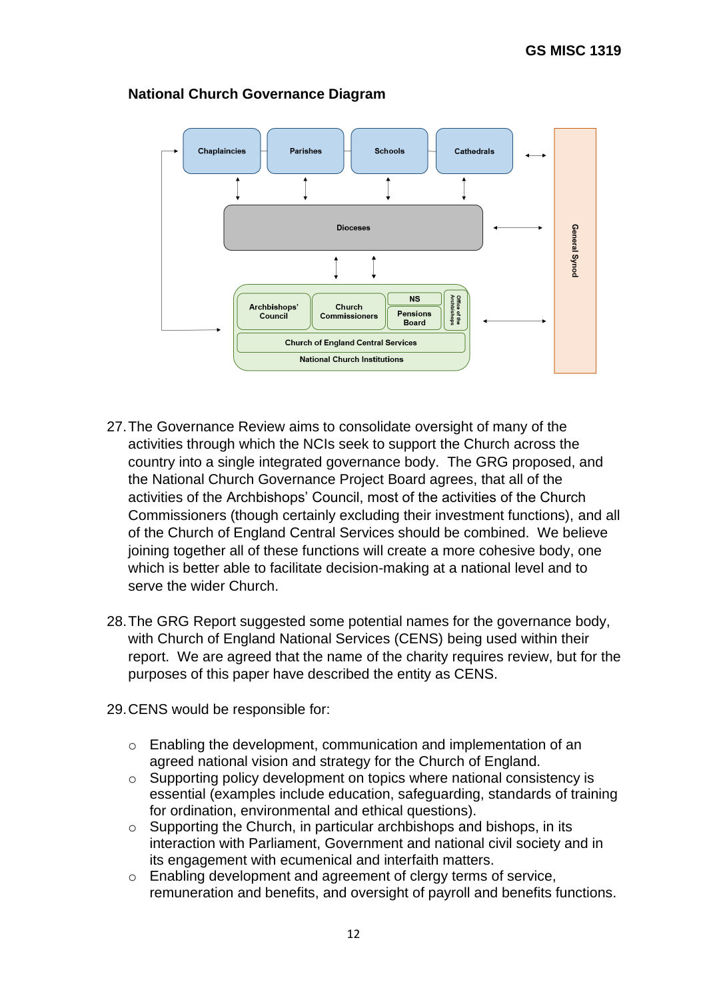

## **National Church Governance Diagram**

- 27.The Governance Review aims to consolidate oversight of many of the activities through which the NCIs seek to support the Church across the country into a single integrated governance body. The GRG proposed, and the National Church Governance Project Board agrees, that all of the activities of the Archbishops' Council, most of the activities of the Church Commissioners (though certainly excluding their investment functions), and all of the Church of England Central Services should be combined. We believe joining together all of these functions will create a more cohesive body, one which is better able to facilitate decision-making at a national level and to serve the wider Church.
- 28.The GRG Report suggested some potential names for the governance body, with Church of England National Services (CENS) being used within their report. We are agreed that the name of the charity requires review, but for the purposes of this paper have described the entity as CENS.
- 29.CENS would be responsible for:
	- o Enabling the development, communication and implementation of an agreed national vision and strategy for the Church of England.
	- o Supporting policy development on topics where national consistency is essential (examples include education, safeguarding, standards of training for ordination, environmental and ethical questions).
	- o Supporting the Church, in particular archbishops and bishops, in its interaction with Parliament, Government and national civil society and in its engagement with ecumenical and interfaith matters.
	- o Enabling development and agreement of clergy terms of service, remuneration and benefits, and oversight of payroll and benefits functions.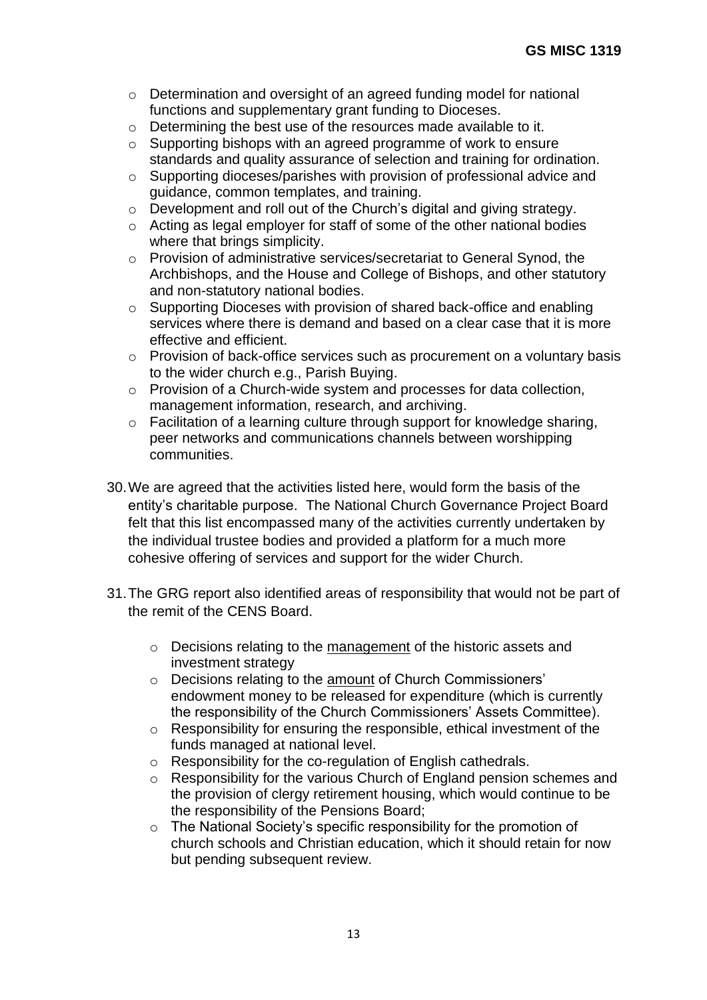- o Determination and oversight of an agreed funding model for national functions and supplementary grant funding to Dioceses.
- $\circ$  Determining the best use of the resources made available to it.
- o Supporting bishops with an agreed programme of work to ensure standards and quality assurance of selection and training for ordination.
- o Supporting dioceses/parishes with provision of professional advice and guidance, common templates, and training.
- o Development and roll out of the Church's digital and giving strategy.
- o Acting as legal employer for staff of some of the other national bodies where that brings simplicity.
- o Provision of administrative services/secretariat to General Synod, the Archbishops, and the House and College of Bishops, and other statutory and non-statutory national bodies.
- o Supporting Dioceses with provision of shared back-office and enabling services where there is demand and based on a clear case that it is more effective and efficient.
- o Provision of back-office services such as procurement on a voluntary basis to the wider church e.g., Parish Buying.
- o Provision of a Church-wide system and processes for data collection, management information, research, and archiving.
- o Facilitation of a learning culture through support for knowledge sharing, peer networks and communications channels between worshipping communities.
- 30.We are agreed that the activities listed here, would form the basis of the entity's charitable purpose. The National Church Governance Project Board felt that this list encompassed many of the activities currently undertaken by the individual trustee bodies and provided a platform for a much more cohesive offering of services and support for the wider Church.
- 31.The GRG report also identified areas of responsibility that would not be part of the remit of the CENS Board.
	- o Decisions relating to the management of the historic assets and investment strategy
	- o Decisions relating to the amount of Church Commissioners' endowment money to be released for expenditure (which is currently the responsibility of the Church Commissioners' Assets Committee).
	- o Responsibility for ensuring the responsible, ethical investment of the funds managed at national level.
	- o Responsibility for the co-regulation of English cathedrals.
	- o Responsibility for the various Church of England pension schemes and the provision of clergy retirement housing, which would continue to be the responsibility of the Pensions Board;
	- o The National Society's specific responsibility for the promotion of church schools and Christian education, which it should retain for now but pending subsequent review.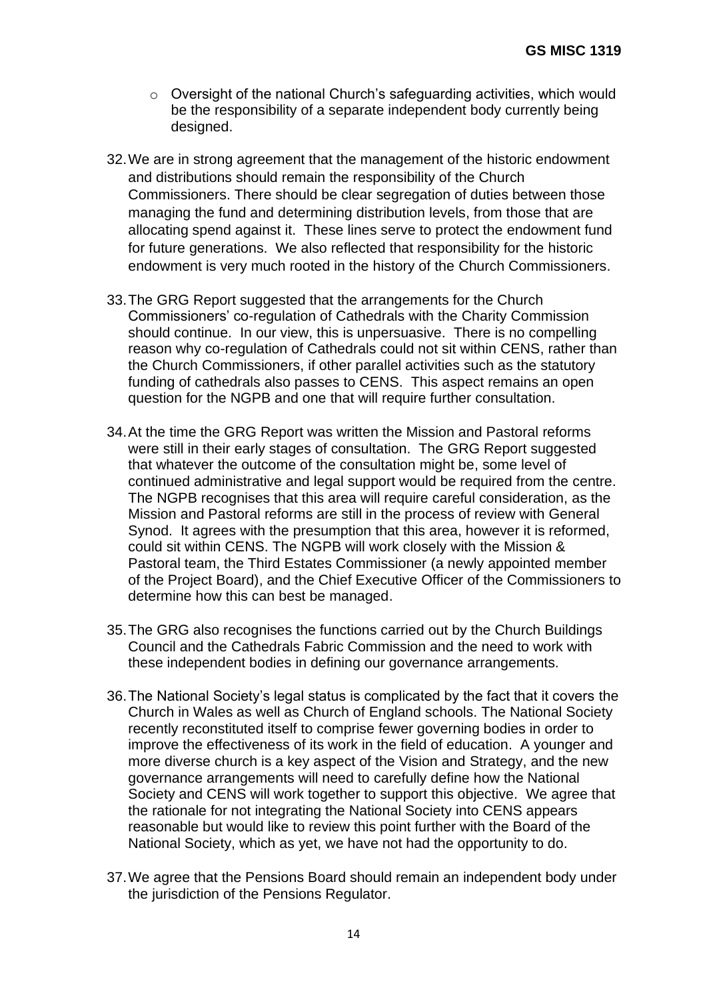- o Oversight of the national Church's safeguarding activities, which would be the responsibility of a separate independent body currently being designed.
- 32.We are in strong agreement that the management of the historic endowment and distributions should remain the responsibility of the Church Commissioners. There should be clear segregation of duties between those managing the fund and determining distribution levels, from those that are allocating spend against it. These lines serve to protect the endowment fund for future generations. We also reflected that responsibility for the historic endowment is very much rooted in the history of the Church Commissioners.
- 33.The GRG Report suggested that the arrangements for the Church Commissioners' co-regulation of Cathedrals with the Charity Commission should continue. In our view, this is unpersuasive. There is no compelling reason why co-regulation of Cathedrals could not sit within CENS, rather than the Church Commissioners, if other parallel activities such as the statutory funding of cathedrals also passes to CENS. This aspect remains an open question for the NGPB and one that will require further consultation.
- 34.At the time the GRG Report was written the Mission and Pastoral reforms were still in their early stages of consultation. The GRG Report suggested that whatever the outcome of the consultation might be, some level of continued administrative and legal support would be required from the centre. The NGPB recognises that this area will require careful consideration, as the Mission and Pastoral reforms are still in the process of review with General Synod. It agrees with the presumption that this area, however it is reformed, could sit within CENS. The NGPB will work closely with the Mission & Pastoral team, the Third Estates Commissioner (a newly appointed member of the Project Board), and the Chief Executive Officer of the Commissioners to determine how this can best be managed.
- 35.The GRG also recognises the functions carried out by the Church Buildings Council and the Cathedrals Fabric Commission and the need to work with these independent bodies in defining our governance arrangements.
- 36.The National Society's legal status is complicated by the fact that it covers the Church in Wales as well as Church of England schools. The National Society recently reconstituted itself to comprise fewer governing bodies in order to improve the effectiveness of its work in the field of education. A younger and more diverse church is a key aspect of the Vision and Strategy, and the new governance arrangements will need to carefully define how the National Society and CENS will work together to support this objective. We agree that the rationale for not integrating the National Society into CENS appears reasonable but would like to review this point further with the Board of the National Society, which as yet, we have not had the opportunity to do.
- 37.We agree that the Pensions Board should remain an independent body under the jurisdiction of the Pensions Regulator.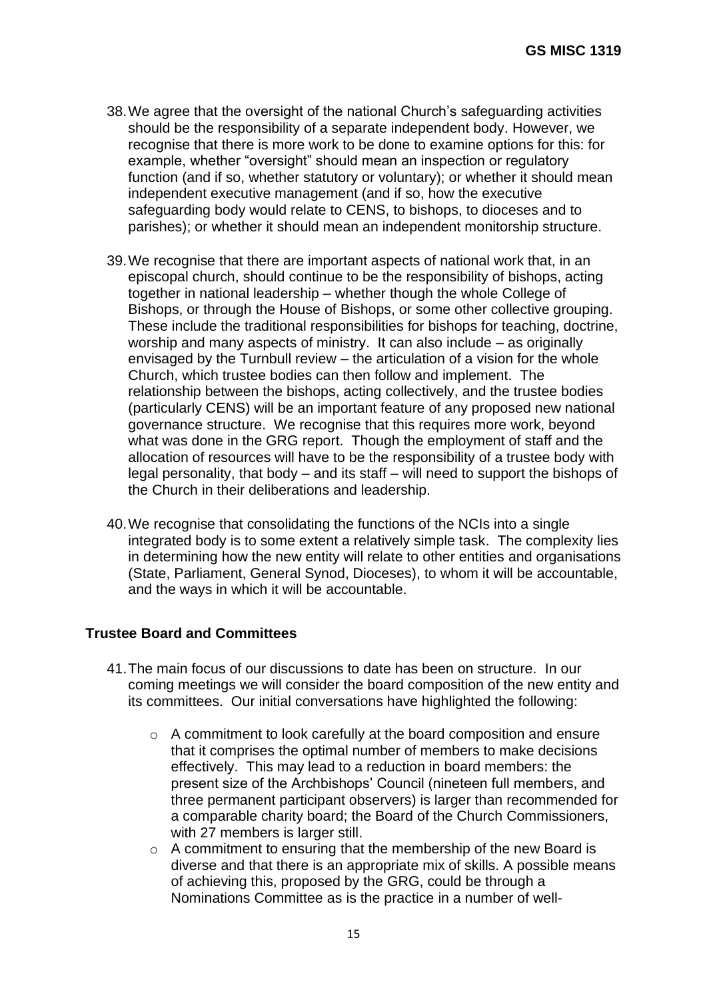- 38.We agree that the oversight of the national Church's safeguarding activities should be the responsibility of a separate independent body. However, we recognise that there is more work to be done to examine options for this: for example, whether "oversight" should mean an inspection or regulatory function (and if so, whether statutory or voluntary); or whether it should mean independent executive management (and if so, how the executive safeguarding body would relate to CENS, to bishops, to dioceses and to parishes); or whether it should mean an independent monitorship structure.
- 39.We recognise that there are important aspects of national work that, in an episcopal church, should continue to be the responsibility of bishops, acting together in national leadership – whether though the whole College of Bishops, or through the House of Bishops, or some other collective grouping. These include the traditional responsibilities for bishops for teaching, doctrine, worship and many aspects of ministry. It can also include – as originally envisaged by the Turnbull review – the articulation of a vision for the whole Church, which trustee bodies can then follow and implement. The relationship between the bishops, acting collectively, and the trustee bodies (particularly CENS) will be an important feature of any proposed new national governance structure. We recognise that this requires more work, beyond what was done in the GRG report. Though the employment of staff and the allocation of resources will have to be the responsibility of a trustee body with legal personality, that body – and its staff – will need to support the bishops of the Church in their deliberations and leadership.
- 40.We recognise that consolidating the functions of the NCIs into a single integrated body is to some extent a relatively simple task. The complexity lies in determining how the new entity will relate to other entities and organisations (State, Parliament, General Synod, Dioceses), to whom it will be accountable, and the ways in which it will be accountable.

#### <span id="page-14-0"></span>**Trustee Board and Committees**

- 41.The main focus of our discussions to date has been on structure. In our coming meetings we will consider the board composition of the new entity and its committees. Our initial conversations have highlighted the following:
	- o A commitment to look carefully at the board composition and ensure that it comprises the optimal number of members to make decisions effectively. This may lead to a reduction in board members: the present size of the Archbishops' Council (nineteen full members, and three permanent participant observers) is larger than recommended for a comparable charity board; the Board of the Church Commissioners, with 27 members is larger still.
	- $\circ$  A commitment to ensuring that the membership of the new Board is diverse and that there is an appropriate mix of skills. A possible means of achieving this, proposed by the GRG, could be through a Nominations Committee as is the practice in a number of well-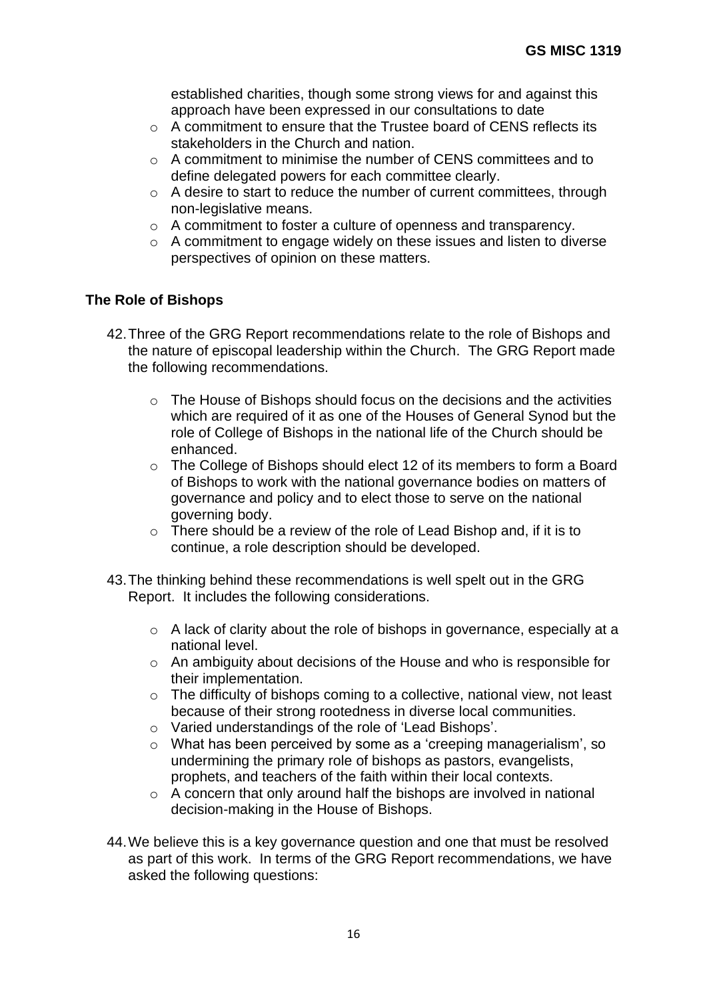established charities, though some strong views for and against this approach have been expressed in our consultations to date

- $\circ$  A commitment to ensure that the Trustee board of CFNS reflects its stakeholders in the Church and nation.
- $\circ$  A commitment to minimise the number of CENS committees and to define delegated powers for each committee clearly.
- $\circ$  A desire to start to reduce the number of current committees, through non-legislative means.
- o A commitment to foster a culture of openness and transparency.
- o A commitment to engage widely on these issues and listen to diverse perspectives of opinion on these matters.

#### <span id="page-15-0"></span>**The Role of Bishops**

- 42.Three of the GRG Report recommendations relate to the role of Bishops and the nature of episcopal leadership within the Church. The GRG Report made the following recommendations.
	- $\circ$  The House of Bishops should focus on the decisions and the activities which are required of it as one of the Houses of General Synod but the role of College of Bishops in the national life of the Church should be enhanced.
	- o The College of Bishops should elect 12 of its members to form a Board of Bishops to work with the national governance bodies on matters of governance and policy and to elect those to serve on the national governing body.
	- o There should be a review of the role of Lead Bishop and, if it is to continue, a role description should be developed.
- 43.The thinking behind these recommendations is well spelt out in the GRG Report. It includes the following considerations.
	- o A lack of clarity about the role of bishops in governance, especially at a national level.
	- o An ambiguity about decisions of the House and who is responsible for their implementation.
	- o The difficulty of bishops coming to a collective, national view, not least because of their strong rootedness in diverse local communities.
	- o Varied understandings of the role of 'Lead Bishops'.
	- o What has been perceived by some as a 'creeping managerialism', so undermining the primary role of bishops as pastors, evangelists, prophets, and teachers of the faith within their local contexts.
	- $\circ$  A concern that only around half the bishops are involved in national decision-making in the House of Bishops.
- 44.We believe this is a key governance question and one that must be resolved as part of this work. In terms of the GRG Report recommendations, we have asked the following questions: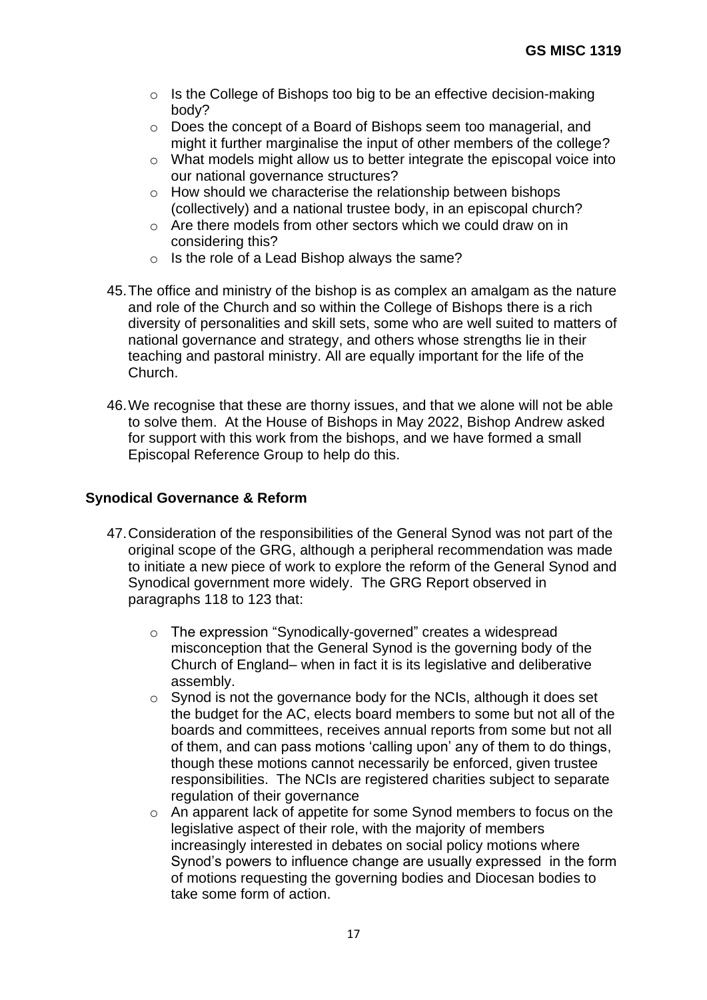- $\circ$  Is the College of Bishops too big to be an effective decision-making body?
- o Does the concept of a Board of Bishops seem too managerial, and might it further marginalise the input of other members of the college?
- o What models might allow us to better integrate the episcopal voice into our national governance structures?
- o How should we characterise the relationship between bishops (collectively) and a national trustee body, in an episcopal church?
- o Are there models from other sectors which we could draw on in considering this?
- o Is the role of a Lead Bishop always the same?
- 45.The office and ministry of the bishop is as complex an amalgam as the nature and role of the Church and so within the College of Bishops there is a rich diversity of personalities and skill sets, some who are well suited to matters of national governance and strategy, and others whose strengths lie in their teaching and pastoral ministry. All are equally important for the life of the Church.
- 46.We recognise that these are thorny issues, and that we alone will not be able to solve them. At the House of Bishops in May 2022, Bishop Andrew asked for support with this work from the bishops, and we have formed a small Episcopal Reference Group to help do this.

## <span id="page-16-0"></span>**Synodical Governance & Reform**

- 47.Consideration of the responsibilities of the General Synod was not part of the original scope of the GRG, although a peripheral recommendation was made to initiate a new piece of work to explore the reform of the General Synod and Synodical government more widely. The GRG Report observed in paragraphs 118 to 123 that:
	- o The expression "Synodically-governed" creates a widespread misconception that the General Synod is the governing body of the Church of England– when in fact it is its legislative and deliberative assembly.
	- o Synod is not the governance body for the NCIs, although it does set the budget for the AC, elects board members to some but not all of the boards and committees, receives annual reports from some but not all of them, and can pass motions 'calling upon' any of them to do things, though these motions cannot necessarily be enforced, given trustee responsibilities. The NCIs are registered charities subject to separate regulation of their governance
	- o An apparent lack of appetite for some Synod members to focus on the legislative aspect of their role, with the majority of members increasingly interested in debates on social policy motions where Synod's powers to influence change are usually expressed in the form of motions requesting the governing bodies and Diocesan bodies to take some form of action.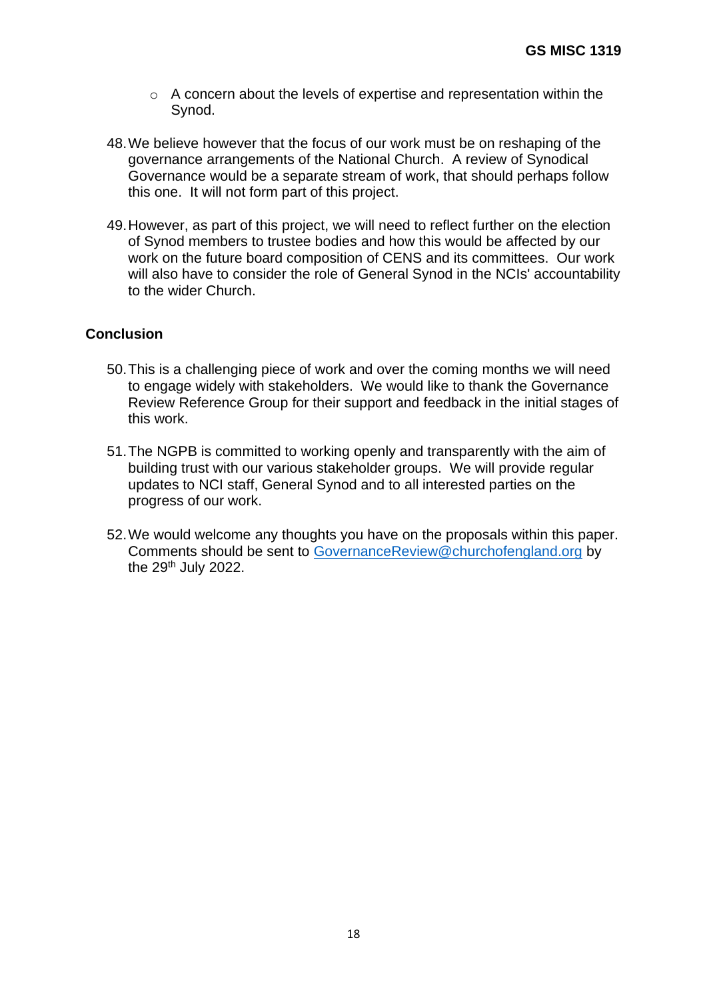- o A concern about the levels of expertise and representation within the Synod.
- 48.We believe however that the focus of our work must be on reshaping of the governance arrangements of the National Church. A review of Synodical Governance would be a separate stream of work, that should perhaps follow this one. It will not form part of this project.
- 49.However, as part of this project, we will need to reflect further on the election of Synod members to trustee bodies and how this would be affected by our work on the future board composition of CENS and its committees. Our work will also have to consider the role of General Synod in the NCIs' accountability to the wider Church.

#### <span id="page-17-0"></span>**Conclusion**

- 50.This is a challenging piece of work and over the coming months we will need to engage widely with stakeholders. We would like to thank the Governance Review Reference Group for their support and feedback in the initial stages of this work.
- 51.The NGPB is committed to working openly and transparently with the aim of building trust with our various stakeholder groups. We will provide regular updates to NCI staff, General Synod and to all interested parties on the progress of our work.
- 52.We would welcome any thoughts you have on the proposals within this paper. Comments should be sent to [GovernanceReview@churchofengland.org](mailto:GovernanceReview@churchofengland.org) by the 29th July 2022.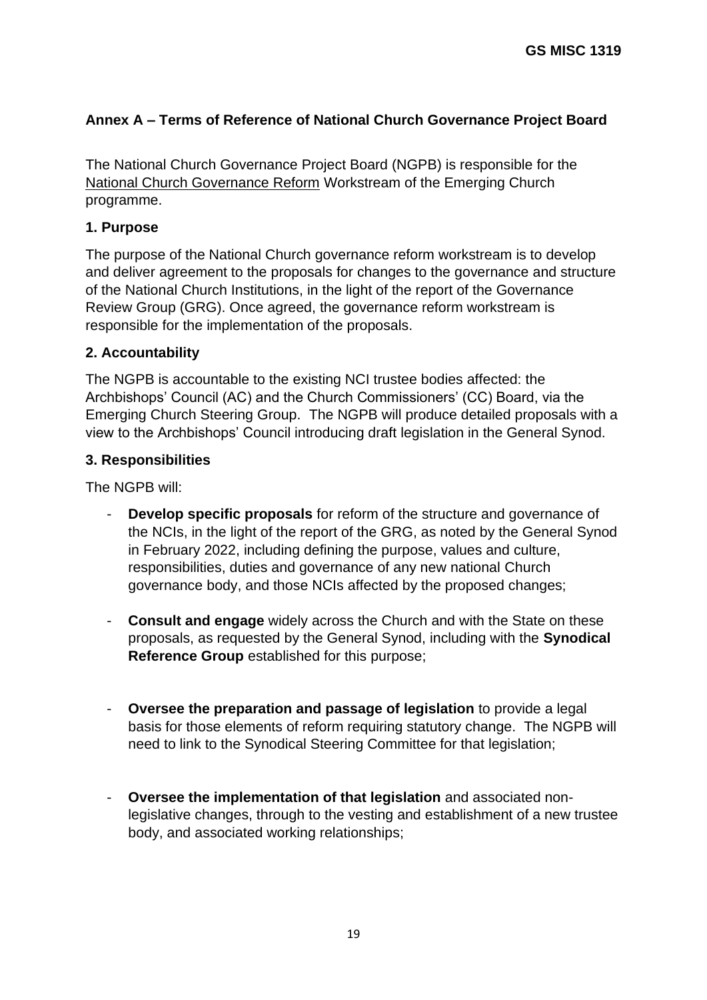# <span id="page-18-0"></span>**Annex A – Terms of Reference of National Church Governance Project Board**

The National Church Governance Project Board (NGPB) is responsible for the National Church Governance Reform Workstream of the Emerging Church programme.

## **1. Purpose**

The purpose of the National Church governance reform workstream is to develop and deliver agreement to the proposals for changes to the governance and structure of the National Church Institutions, in the light of the report of the Governance Review Group (GRG). Once agreed, the governance reform workstream is responsible for the implementation of the proposals.

## **2. Accountability**

The NGPB is accountable to the existing NCI trustee bodies affected: the Archbishops' Council (AC) and the Church Commissioners' (CC) Board, via the Emerging Church Steering Group. The NGPB will produce detailed proposals with a view to the Archbishops' Council introducing draft legislation in the General Synod.

## **3. Responsibilities**

The NGPB will:

- **Develop specific proposals** for reform of the structure and governance of the NCIs, in the light of the report of the GRG, as noted by the General Synod in February 2022, including defining the purpose, values and culture, responsibilities, duties and governance of any new national Church governance body, and those NCIs affected by the proposed changes;
- **Consult and engage** widely across the Church and with the State on these proposals, as requested by the General Synod, including with the **Synodical Reference Group** established for this purpose;
- **Oversee the preparation and passage of legislation** to provide a legal basis for those elements of reform requiring statutory change. The NGPB will need to link to the Synodical Steering Committee for that legislation;
- **Oversee the implementation of that legislation** and associated nonlegislative changes, through to the vesting and establishment of a new trustee body, and associated working relationships;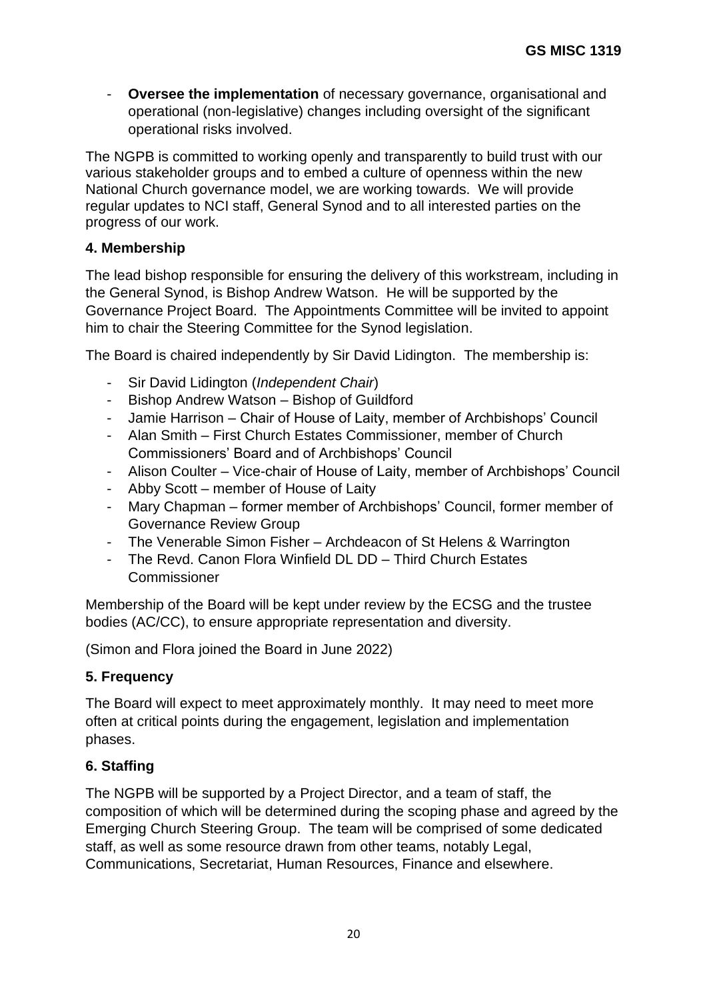- **Oversee the implementation** of necessary governance, organisational and operational (non-legislative) changes including oversight of the significant operational risks involved.

The NGPB is committed to working openly and transparently to build trust with our various stakeholder groups and to embed a culture of openness within the new National Church governance model, we are working towards. We will provide regular updates to NCI staff, General Synod and to all interested parties on the progress of our work.

# **4. Membership**

The lead bishop responsible for ensuring the delivery of this workstream, including in the General Synod, is Bishop Andrew Watson. He will be supported by the Governance Project Board. The Appointments Committee will be invited to appoint him to chair the Steering Committee for the Synod legislation.

The Board is chaired independently by Sir David Lidington. The membership is:

- Sir David Lidington (*Independent Chair*)
- Bishop Andrew Watson Bishop of Guildford
- Jamie Harrison Chair of House of Laity, member of Archbishops' Council
- Alan Smith First Church Estates Commissioner, member of Church Commissioners' Board and of Archbishops' Council
- Alison Coulter Vice-chair of House of Laity, member of Archbishops' Council
- Abby Scott member of House of Laity
- Mary Chapman former member of Archbishops' Council, former member of Governance Review Group
- The Venerable Simon Fisher Archdeacon of St Helens & Warrington
- The Revd. Canon Flora Winfield DL DD Third Church Estates **Commissioner**

Membership of the Board will be kept under review by the ECSG and the trustee bodies (AC/CC), to ensure appropriate representation and diversity.

(Simon and Flora joined the Board in June 2022)

## **5. Frequency**

The Board will expect to meet approximately monthly. It may need to meet more often at critical points during the engagement, legislation and implementation phases.

# **6. Staffing**

The NGPB will be supported by a Project Director, and a team of staff, the composition of which will be determined during the scoping phase and agreed by the Emerging Church Steering Group. The team will be comprised of some dedicated staff, as well as some resource drawn from other teams, notably Legal, Communications, Secretariat, Human Resources, Finance and elsewhere.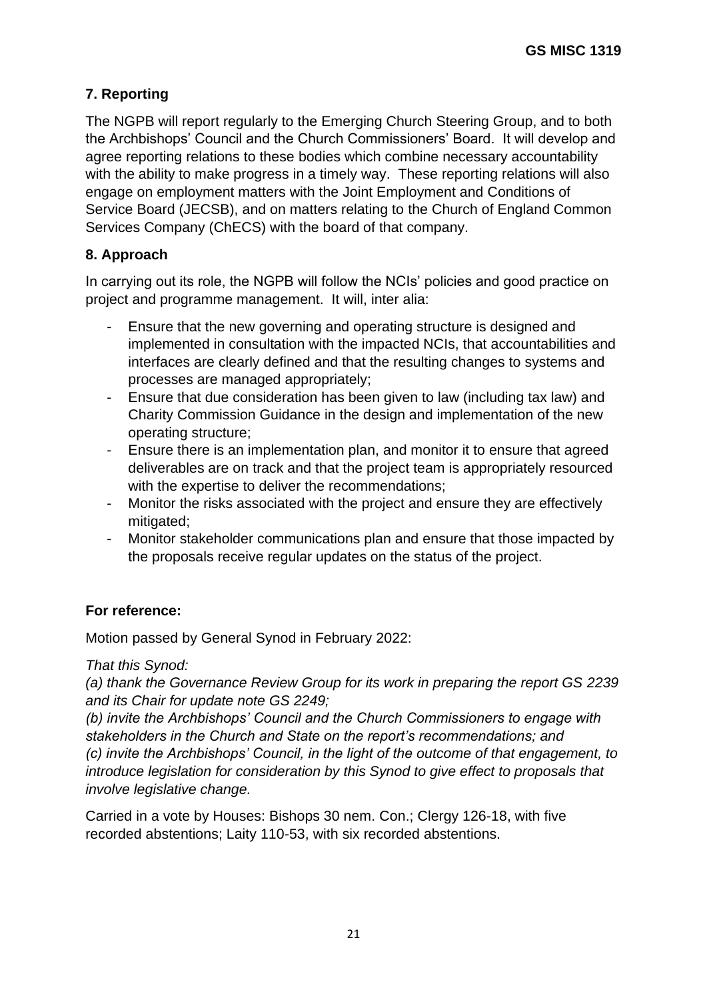# **7. Reporting**

The NGPB will report regularly to the Emerging Church Steering Group, and to both the Archbishops' Council and the Church Commissioners' Board. It will develop and agree reporting relations to these bodies which combine necessary accountability with the ability to make progress in a timely way. These reporting relations will also engage on employment matters with the Joint Employment and Conditions of Service Board (JECSB), and on matters relating to the Church of England Common Services Company (ChECS) with the board of that company.

# **8. Approach**

In carrying out its role, the NGPB will follow the NCIs' policies and good practice on project and programme management. It will, inter alia:

- Ensure that the new governing and operating structure is designed and implemented in consultation with the impacted NCIs, that accountabilities and interfaces are clearly defined and that the resulting changes to systems and processes are managed appropriately;
- Ensure that due consideration has been given to law (including tax law) and Charity Commission Guidance in the design and implementation of the new operating structure;
- Ensure there is an implementation plan, and monitor it to ensure that agreed deliverables are on track and that the project team is appropriately resourced with the expertise to deliver the recommendations;
- Monitor the risks associated with the project and ensure they are effectively mitigated;
- Monitor stakeholder communications plan and ensure that those impacted by the proposals receive regular updates on the status of the project.

## **For reference:**

Motion passed by General Synod in February 2022:

## *That this Synod:*

*(a) thank the Governance Review Group for its work in preparing the report GS 2239 and its Chair for update note GS 2249;*

*(b) invite the Archbishops' Council and the Church Commissioners to engage with stakeholders in the Church and State on the report's recommendations; and (c) invite the Archbishops' Council, in the light of the outcome of that engagement, to introduce legislation for consideration by this Synod to give effect to proposals that involve legislative change.*

Carried in a vote by Houses: Bishops 30 nem. Con.; Clergy 126-18, with five recorded abstentions; Laity 110-53, with six recorded abstentions.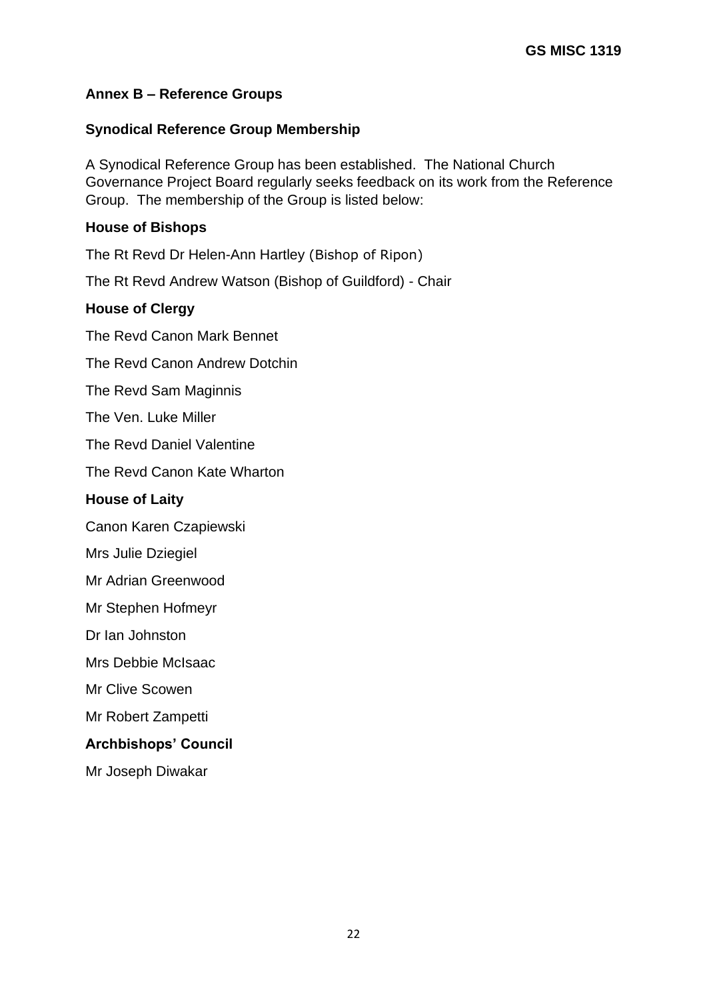# <span id="page-21-0"></span>**Annex B – Reference Groups**

## **Synodical Reference Group Membership**

A Synodical Reference Group has been established. The National Church Governance Project Board regularly seeks feedback on its work from the Reference Group. The membership of the Group is listed below:

## **House of Bishops**

The Rt Revd Dr Helen-Ann Hartley (Bishop of Ripon)

The Rt Revd Andrew Watson (Bishop of Guildford) - Chair

## **House of Clergy**

The Revd Canon Mark Bennet

The Revd Canon Andrew Dotchin

The Revd Sam Maginnis

The Ven. Luke Miller

The Revd Daniel Valentine

The Revd Canon Kate Wharton

## **House of Laity**

Canon Karen Czapiewski

Mrs Julie Dziegiel

Mr Adrian Greenwood

Mr Stephen Hofmeyr

Dr Ian Johnston

Mrs Debbie McIsaac

Mr Clive Scowen

Mr Robert Zampetti

#### **Archbishops' Council**

Mr Joseph Diwakar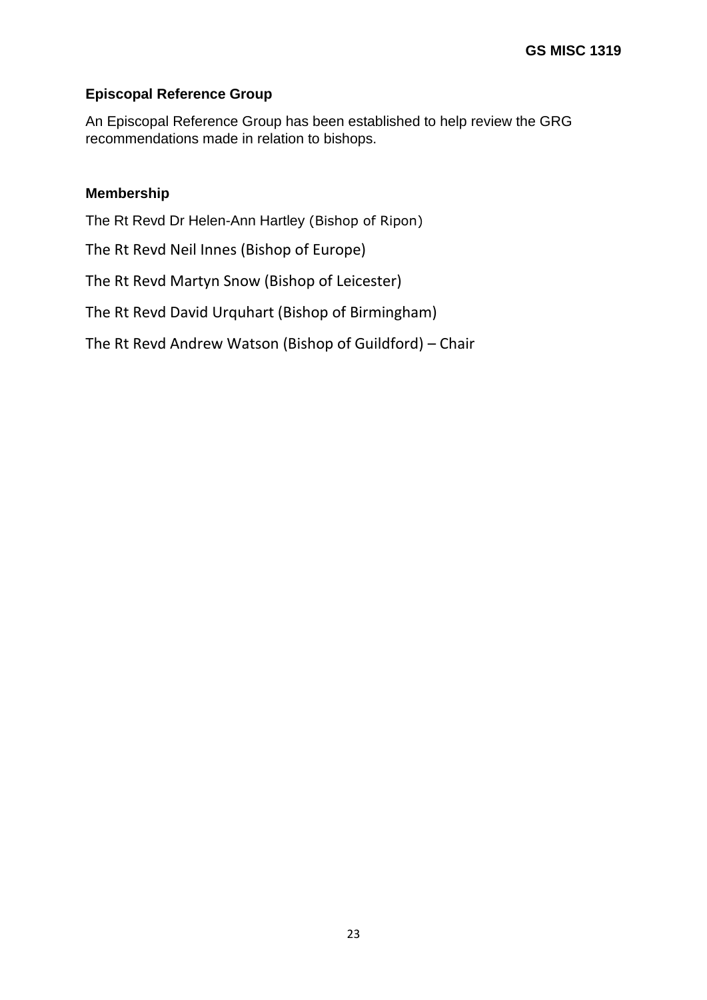## **Episcopal Reference Group**

An Episcopal Reference Group has been established to help review the GRG recommendations made in relation to bishops.

#### **Membership**

The Rt Revd Dr Helen-Ann Hartley (Bishop of Ripon)

The Rt Revd Neil Innes (Bishop of Europe)

The Rt Revd Martyn Snow (Bishop of Leicester)

The Rt Revd David Urquhart (Bishop of Birmingham)

The Rt Revd Andrew Watson (Bishop of Guildford) – Chair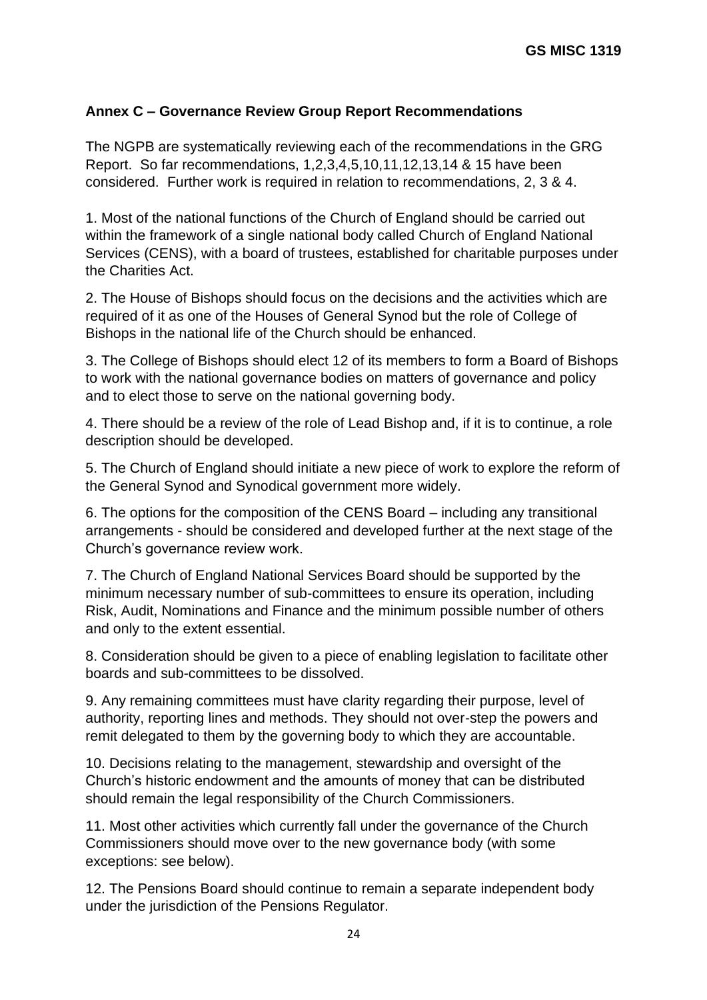# <span id="page-23-0"></span>**Annex C – Governance Review Group Report Recommendations**

The NGPB are systematically reviewing each of the recommendations in the GRG Report. So far recommendations, 1,2,3,4,5,10,11,12,13,14 & 15 have been considered. Further work is required in relation to recommendations, 2, 3 & 4.

1. Most of the national functions of the Church of England should be carried out within the framework of a single national body called Church of England National Services (CENS), with a board of trustees, established for charitable purposes under the Charities Act.

2. The House of Bishops should focus on the decisions and the activities which are required of it as one of the Houses of General Synod but the role of College of Bishops in the national life of the Church should be enhanced.

3. The College of Bishops should elect 12 of its members to form a Board of Bishops to work with the national governance bodies on matters of governance and policy and to elect those to serve on the national governing body.

4. There should be a review of the role of Lead Bishop and, if it is to continue, a role description should be developed.

5. The Church of England should initiate a new piece of work to explore the reform of the General Synod and Synodical government more widely.

6. The options for the composition of the CENS Board – including any transitional arrangements - should be considered and developed further at the next stage of the Church's governance review work.

7. The Church of England National Services Board should be supported by the minimum necessary number of sub-committees to ensure its operation, including Risk, Audit, Nominations and Finance and the minimum possible number of others and only to the extent essential.

8. Consideration should be given to a piece of enabling legislation to facilitate other boards and sub-committees to be dissolved.

9. Any remaining committees must have clarity regarding their purpose, level of authority, reporting lines and methods. They should not over-step the powers and remit delegated to them by the governing body to which they are accountable.

10. Decisions relating to the management, stewardship and oversight of the Church's historic endowment and the amounts of money that can be distributed should remain the legal responsibility of the Church Commissioners.

11. Most other activities which currently fall under the governance of the Church Commissioners should move over to the new governance body (with some exceptions: see below).

12. The Pensions Board should continue to remain a separate independent body under the jurisdiction of the Pensions Regulator.